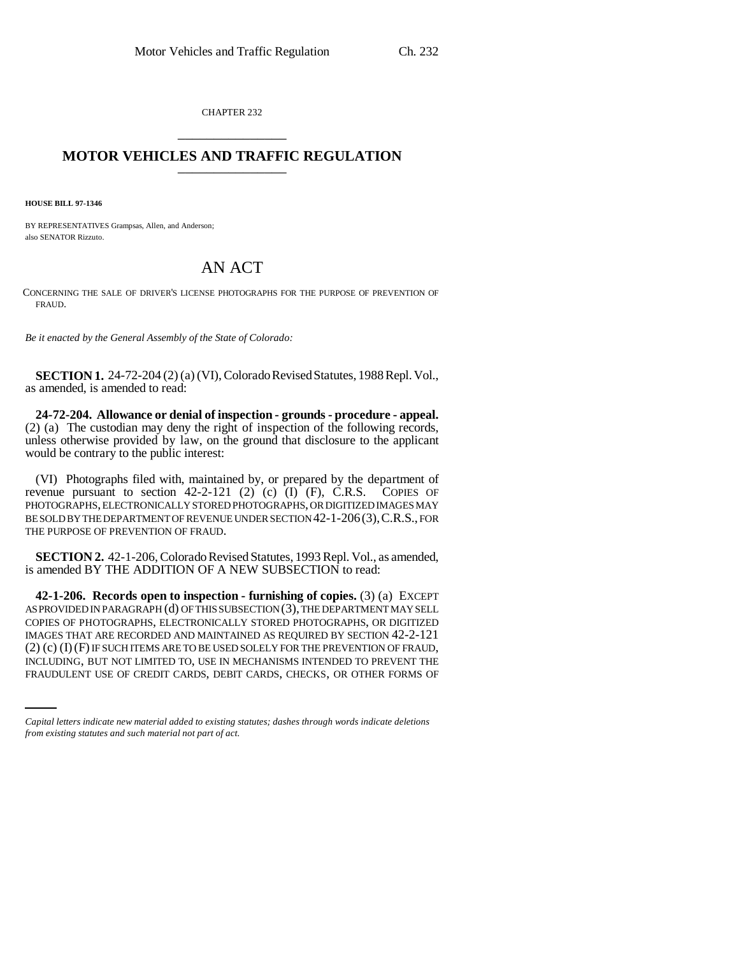CHAPTER 232 \_\_\_\_\_\_\_\_\_\_\_\_\_\_\_

## **MOTOR VEHICLES AND TRAFFIC REGULATION**

**HOUSE BILL 97-1346**

BY REPRESENTATIVES Grampsas, Allen, and Anderson; also SENATOR Rizzuto.

## AN ACT

CONCERNING THE SALE OF DRIVER'S LICENSE PHOTOGRAPHS FOR THE PURPOSE OF PREVENTION OF FRAUD.

*Be it enacted by the General Assembly of the State of Colorado:*

**SECTION 1.** 24-72-204 (2) (a) (VI), Colorado Revised Statutes, 1988 Repl. Vol., as amended, is amended to read:

**24-72-204. Allowance or denial of inspection - grounds - procedure - appeal.** (2) (a) The custodian may deny the right of inspection of the following records, unless otherwise provided by law, on the ground that disclosure to the applicant would be contrary to the public interest:

(VI) Photographs filed with, maintained by, or prepared by the department of revenue pursuant to section  $42-2-121$  (2) (c) (I) (F), C.R.S. COPIES OF PHOTOGRAPHS, ELECTRONICALLY STORED PHOTOGRAPHS, OR DIGITIZED IMAGES MAY BE SOLD BY THE DEPARTMENT OF REVENUE UNDER SECTION 42-1-206(3),C.R.S., FOR THE PURPOSE OF PREVENTION OF FRAUD.

**SECTION 2.** 42-1-206, Colorado Revised Statutes, 1993 Repl. Vol., as amended, is amended BY THE ADDITION OF A NEW SUBSECTION to read:

(2) (c) (I)(F) IF SUCH ITEMS ARE TO BE USED SOLELY FOR THE PREVENTION OF FRAUD, **42-1-206. Records open to inspection - furnishing of copies.** (3) (a) EXCEPT AS PROVIDED IN PARAGRAPH (d) OF THIS SUBSECTION (3), THE DEPARTMENT MAY SELL COPIES OF PHOTOGRAPHS, ELECTRONICALLY STORED PHOTOGRAPHS, OR DIGITIZED IMAGES THAT ARE RECORDED AND MAINTAINED AS REQUIRED BY SECTION 42-2-121 INCLUDING, BUT NOT LIMITED TO, USE IN MECHANISMS INTENDED TO PREVENT THE FRAUDULENT USE OF CREDIT CARDS, DEBIT CARDS, CHECKS, OR OTHER FORMS OF

*Capital letters indicate new material added to existing statutes; dashes through words indicate deletions from existing statutes and such material not part of act.*